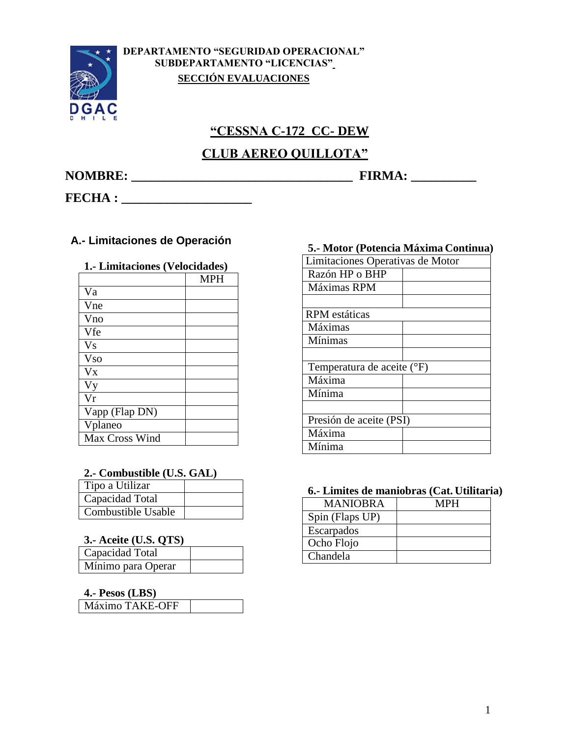

**DEPARTAMENTO "SEGURIDAD OPERACIONAL" SUBDEPARTAMENTO "LICENCIAS" SECCIÓN EVALUACIONES**

# **"CESSNA C-172 CC- DEW**

# **CLUB AEREO QUILLOTA"**

**NOMBRE: \_\_\_\_\_\_\_\_\_\_\_\_\_\_\_\_\_\_\_\_\_\_\_\_\_\_\_\_\_\_\_\_\_\_ FIRMA: \_\_\_\_\_\_\_\_\_\_**

**FECHA : \_\_\_\_\_\_\_\_\_\_\_\_\_\_\_\_\_\_\_\_**

## **A.- Limitaciones de Operación**

### **1.- Limitaciones (Velocidades)**

|                        | <b>MPH</b> |
|------------------------|------------|
| Va                     |            |
| Vne                    |            |
| Vno                    |            |
| Vfe                    |            |
| <b>Vs</b>              |            |
| <b>Vso</b>             |            |
| $\mathbf{V}\mathbf{x}$ |            |
| <b>Vy</b>              |            |
| Vr                     |            |
| Vapp (Flap DN)         |            |
| Vplaneo                |            |
| Max Cross Wind         |            |

#### **2.- Combustible (U.S. GAL)**

| Tipo a Utilizar    |  |  |
|--------------------|--|--|
| Capacidad Total    |  |  |
| Combustible Usable |  |  |

### **3.- Aceite (U.S. QTS)**

| -----------        |  |
|--------------------|--|
| Capacidad Total    |  |
| Mínimo para Operar |  |

#### **4.- Pesos (LBS)**

#### **5.- Motor (Potencia Máxima Continua)**

| 3.- модя за одним махии Сопинца, |  |
|----------------------------------|--|
| Limitaciones Operativas de Motor |  |
| Razón HP o BHP                   |  |
| Máximas RPM                      |  |
|                                  |  |
| <b>RPM</b> estáticas             |  |
| Máximas                          |  |
| Mínimas                          |  |
|                                  |  |
| Temperatura de aceite (°F)       |  |
| Máxima                           |  |
| Mínima                           |  |
|                                  |  |
| Presión de aceite (PSI)          |  |
| Máxima                           |  |
| Mínima                           |  |

#### **6.- Limites de maniobras (Cat. Utilitaria)**

| <b>MANIOBRA</b> | MPH |  |
|-----------------|-----|--|
| Spin (Flaps UP) |     |  |
| Escarpados      |     |  |
| Ocho Flojo      |     |  |
| Chandela        |     |  |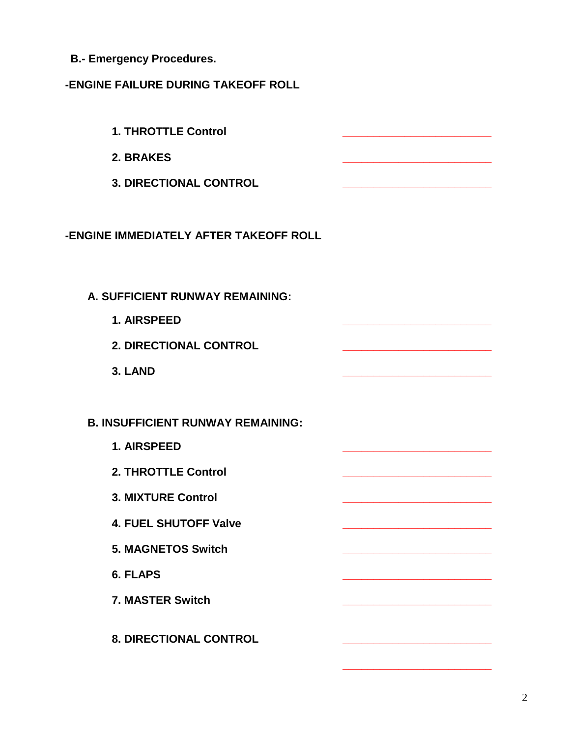**B.- Emergency Procedures.**

## **-ENGINE FAILURE DURING TAKEOFF ROLL**

**1. THROTTLE Control \_\_\_\_\_\_\_\_\_\_\_\_\_\_\_\_\_\_\_\_\_\_\_\_ 2. BRAKES \_\_\_\_\_\_\_\_\_\_\_\_\_\_\_\_\_\_\_\_\_\_\_\_ 3. DIRECTIONAL CONTROL \_\_\_\_\_\_\_\_\_\_\_\_\_\_\_\_\_\_\_\_\_\_\_\_ -ENGINE IMMEDIATELY AFTER TAKEOFF ROLL A. SUFFICIENT RUNWAY REMAINING: 1. AIRSPEED \_\_\_\_\_\_\_\_\_\_\_\_\_\_\_\_\_\_\_\_\_\_\_\_ 2. DIRECTIONAL CONTROL \_\_\_\_\_\_\_\_\_\_\_\_\_\_\_\_\_\_\_\_\_\_\_\_ 3. LAND \_\_\_\_\_\_\_\_\_\_\_\_\_\_\_\_\_\_\_\_\_\_\_\_ B. INSUFFICIENT RUNWAY REMAINING: 1. AIRSPEED \_\_\_\_\_\_\_\_\_\_\_\_\_\_\_\_\_\_\_\_\_\_\_\_ 2. THROTTLE Control \_\_\_\_\_\_\_\_\_\_\_\_\_\_\_\_\_\_\_\_\_\_\_\_ 3. MIXTURE Control \_\_\_\_\_\_\_\_\_\_\_\_\_\_\_\_\_\_\_\_\_\_\_\_ 4. FUEL SHUTOFF Valve \_\_\_\_\_\_\_\_\_\_\_\_\_\_\_\_\_\_\_\_\_\_\_\_ 5. MAGNETOS Switch \_\_\_\_\_\_\_\_\_\_\_\_\_\_\_\_\_\_\_\_\_\_\_\_ 6. FLAPS \_\_\_\_\_\_\_\_\_\_\_\_\_\_\_\_\_\_\_\_\_\_\_\_ 7. MASTER Switch \_\_\_\_\_\_\_\_\_\_\_\_\_\_\_\_\_\_\_\_\_\_\_\_ 8. DIRECTIONAL CONTROL \_\_\_\_\_\_\_\_\_\_\_\_\_\_\_\_\_\_\_\_\_\_\_\_**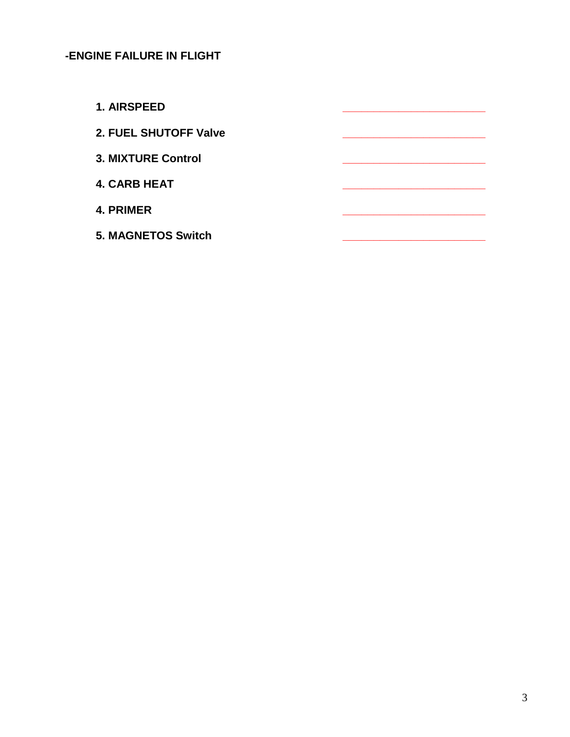## **-ENGINE FAILURE IN FLIGHT**

**1. AIRSPEED \_\_\_\_\_\_\_\_\_\_\_\_\_\_\_\_\_\_\_\_\_\_\_**

**2. FUEL SHUTOFF Valve \_\_\_\_\_\_\_\_\_\_\_\_\_\_\_\_\_\_\_\_\_\_\_**

- **3. MIXTURE Control \_\_\_\_\_\_\_\_\_\_\_\_\_\_\_\_\_\_\_\_\_\_\_**
- **4. CARB HEAT \_\_\_\_\_\_\_\_\_\_\_\_\_\_\_\_\_\_\_\_\_\_\_**
- **4. PRIMER \_\_\_\_\_\_\_\_\_\_\_\_\_\_\_\_\_\_\_\_\_\_\_**
- **5. MAGNETOS Switch \_\_\_\_\_\_\_\_\_\_\_\_\_\_\_\_\_\_\_\_\_\_\_**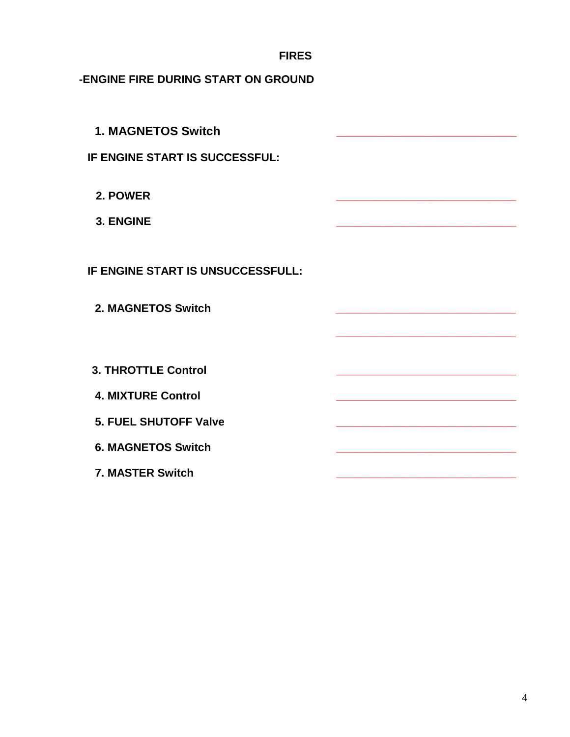**-ENGINE FIRE DURING START ON GROUND**

| <b>1. MAGNETOS Switch</b>         |  |
|-----------------------------------|--|
| IF ENGINE START IS SUCCESSFUL:    |  |
| 2. POWER                          |  |
| 3. ENGINE                         |  |
| IF ENGINE START IS UNSUCCESSFULL: |  |
|                                   |  |
| 2. MAGNETOS Switch                |  |
|                                   |  |
| <b>3. THROTTLE Control</b>        |  |
| <b>4. MIXTURE Control</b>         |  |
| <b>5. FUEL SHUTOFF Valve</b>      |  |
| <b>6. MAGNETOS Switch</b>         |  |
| <b>7. MASTER Switch</b>           |  |